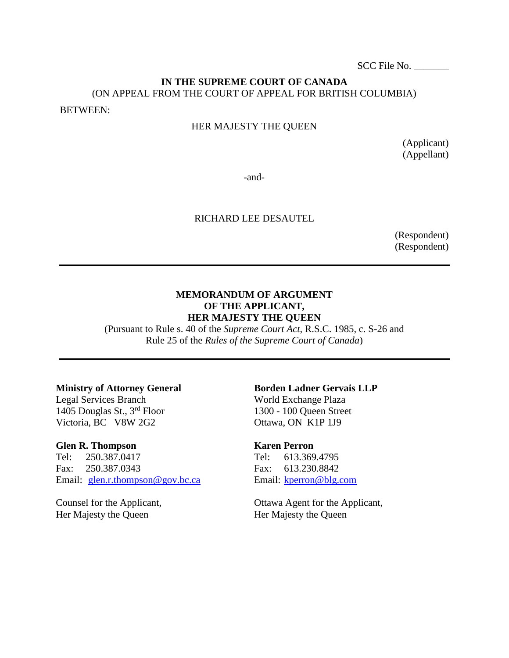SCC File No. \_\_\_\_\_\_\_

# **IN THE SUPREME COURT OF CANADA** (ON APPEAL FROM THE COURT OF APPEAL FOR BRITISH COLUMBIA)

BETWEEN:

#### HER MAJESTY THE QUEEN

(Applicant) (Appellant)

-and-

#### RICHARD LEE DESAUTEL

(Respondent) (Respondent)

#### **MEMORANDUM OF ARGUMENT OF THE APPLICANT, HER MAJESTY THE QUEEN**

(Pursuant to Rule s. 40 of the *Supreme Court Act*, R.S.C. 1985, c. S-26 and Rule 25 of the *Rules of the Supreme Court of Canada*)

#### **Ministry of Attorney General**

Legal Services Branch 1405 Douglas St., 3rd Floor Victoria, BC V8W 2G2

#### **Glen R. Thompson**

Tel: 250.387.0417 Fax: 250.387.0343 Email: [glen.r.thompson@gov.bc.ca](mailto:glen.r.thompson@gov.bc.ca)

Counsel for the Applicant, Her Majesty the Queen

#### **Borden Ladner Gervais LLP** World Exchange Plaza

1300 - 100 Queen Street Ottawa, ON K1P 1J9

#### **Karen Perron**

Tel: 613.369.4795 Fax: 613.230.8842 Email: [kperron@blg.com](mailto:kperron@blg.com)

Ottawa Agent for the Applicant, Her Majesty the Queen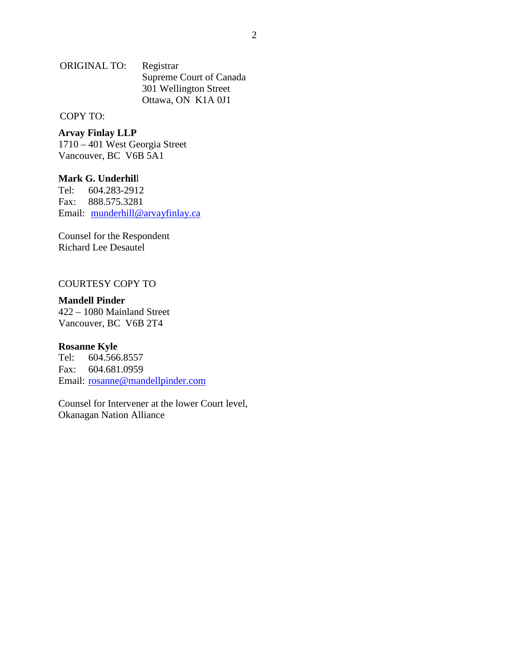ORIGINAL TO: Registrar Supreme Court of Canada 301 Wellington Street Ottawa, ON K1A 0J1

#### COPY TO:

**Arvay Finlay LLP** 1710 – 401 West Georgia Street Vancouver, BC V6B 5A1

**Mark G. Underhil**l Tel: 604.283-2912 Fax: 888.575.3281 Email: [munderhill@arvayfinlay.ca](mailto:munderhill@arvayfinlay.ca)

Counsel for the Respondent Richard Lee Desautel

#### COURTESY COPY TO

#### **Mandell Pinder**

422 – 1080 Mainland Street Vancouver, BC V6B 2T4

# **Rosanne Kyle**<br>Tel: 604.566

Tel: 604.566.8557 Fax: 604.681.0959 Email: [rosanne@mandellpinder.com](mailto:rosanne@mandellpinder.com)

Counsel for Intervener at the lower Court level, Okanagan Nation Alliance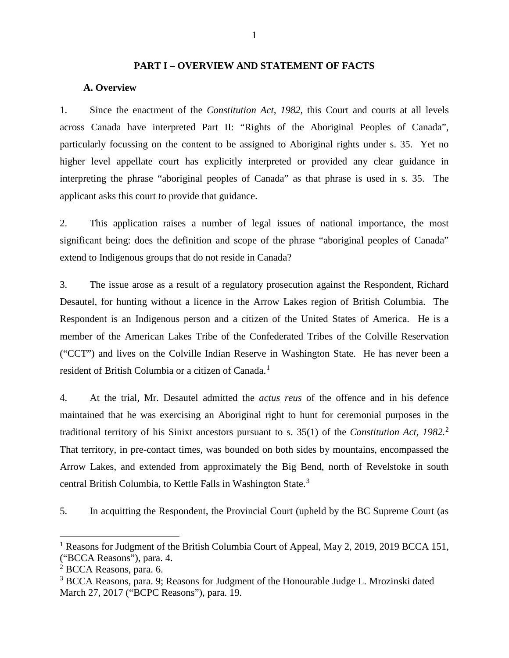#### **PART I – OVERVIEW AND STATEMENT OF FACTS**

#### <span id="page-3-1"></span><span id="page-3-0"></span>**A. Overview**

1. Since the enactment of the *Constitution Act, 1982,* this Court and courts at all levels across Canada have interpreted Part II: "Rights of the Aboriginal Peoples of Canada", particularly focussing on the content to be assigned to Aboriginal rights under s. 35. Yet no higher level appellate court has explicitly interpreted or provided any clear guidance in interpreting the phrase "aboriginal peoples of Canada" as that phrase is used in s. 35. The applicant asks this court to provide that guidance.

2. This application raises a number of legal issues of national importance, the most significant being: does the definition and scope of the phrase "aboriginal peoples of Canada" extend to Indigenous groups that do not reside in Canada?

3. The issue arose as a result of a regulatory prosecution against the Respondent, Richard Desautel, for hunting without a licence in the Arrow Lakes region of British Columbia. The Respondent is an Indigenous person and a citizen of the United States of America. He is a member of the American Lakes Tribe of the Confederated Tribes of the Colville Reservation ("CCT") and lives on the Colville Indian Reserve in Washington State. He has never been a resident of British Columbia or a citizen of Canada.<sup>[1](#page-3-2)</sup>

4. At the trial, Mr. Desautel admitted the *actus reus* of the offence and in his defence maintained that he was exercising an Aboriginal right to hunt for ceremonial purposes in the traditional territory of his Sinixt ancestors pursuant to s. 35(1) of the *Constitution Act, 1982.*[2](#page-3-3) That territory, in pre-contact times, was bounded on both sides by mountains, encompassed the Arrow Lakes, and extended from approximately the Big Bend, north of Revelstoke in south central British Columbia, to Kettle Falls in Washington State.<sup>[3](#page-3-4)</sup>

5. In acquitting the Respondent, the Provincial Court (upheld by the BC Supreme Court (as

 $\overline{a}$ 

<span id="page-3-2"></span><sup>&</sup>lt;sup>1</sup> Reasons for Judgment of the British Columbia Court of Appeal, May 2, 2019, 2019 BCCA 151, ("BCCA Reasons"), para. 4.

<span id="page-3-3"></span> $2$  BCCA Reasons, para. 6.

<span id="page-3-4"></span><sup>&</sup>lt;sup>3</sup> BCCA Reasons, para. 9; Reasons for Judgment of the Honourable Judge L. Mrozinski dated March 27, 2017 ("BCPC Reasons"), para. 19.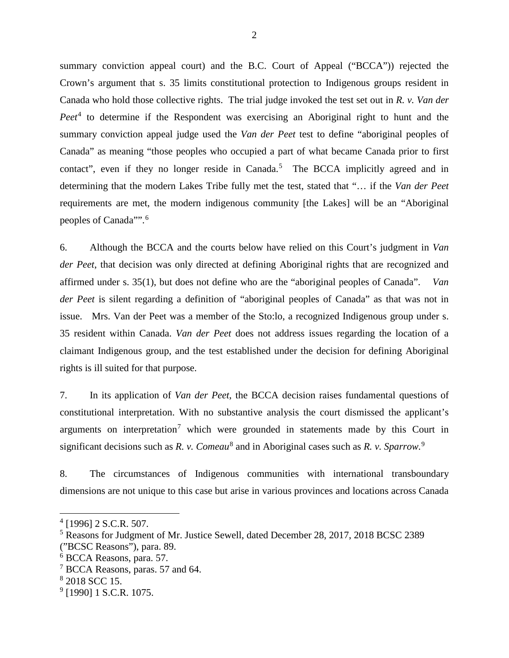summary conviction appeal court) and the B.C. Court of Appeal ("BCCA")) rejected the Crown's argument that s. 35 limits constitutional protection to Indigenous groups resident in Canada who hold those collective rights. The trial judge invoked the test set out in *R. v. Van der Peet*<sup>[4](#page-4-0)</sup> to determine if the Respondent was exercising an Aboriginal right to hunt and the summary conviction appeal judge used the *Van der Peet* test to define "aboriginal peoples of Canada" as meaning "those peoples who occupied a part of what became Canada prior to first contact", even if they no longer reside in Canada.<sup>[5](#page-4-1)</sup> The BCCA implicitly agreed and in determining that the modern Lakes Tribe fully met the test, stated that "… if the *Van der Peet*  requirements are met, the modern indigenous community [the Lakes] will be an "Aboriginal peoples of Canada"". [6](#page-4-2)

6. Although the BCCA and the courts below have relied on this Court's judgment in *Van der Peet*, that decision was only directed at defining Aboriginal rights that are recognized and affirmed under s. 35(1), but does not define who are the "aboriginal peoples of Canada". *Van der Peet* is silent regarding a definition of "aboriginal peoples of Canada" as that was not in issue. Mrs. Van der Peet was a member of the Sto:lo, a recognized Indigenous group under s. 35 resident within Canada. *Van der Peet* does not address issues regarding the location of a claimant Indigenous group, and the test established under the decision for defining Aboriginal rights is ill suited for that purpose.

7. In its application of *Van der Peet*, the BCCA decision raises fundamental questions of constitutional interpretation. With no substantive analysis the court dismissed the applicant's arguments on interpretation<sup>[7](#page-4-3)</sup> which were grounded in statements made by this Court in significant decisions such as *R. v. Comeau*[8](#page-4-4) and in Aboriginal cases such as *R. v. Sparrow.* [9](#page-4-5)

8. The circumstances of Indigenous communities with international transboundary dimensions are not unique to this case but arise in various provinces and locations across Canada

<span id="page-4-0"></span> $4$  [1996] 2 S.C.R. 507.

<span id="page-4-1"></span><sup>5</sup> Reasons for Judgment of Mr. Justice Sewell, dated December 28, 2017, 2018 BCSC 2389

<sup>(&</sup>quot;BCSC Reasons"), para. 89.

<span id="page-4-2"></span><sup>6</sup> BCCA Reasons, para. 57.

<span id="page-4-3"></span><sup>&</sup>lt;sup>7</sup> BCCA Reasons, paras. 57 and 64.

<span id="page-4-4"></span><sup>8</sup> 2018 SCC 15.

<span id="page-4-5"></span> $9$  [1990] 1 S.C.R. 1075.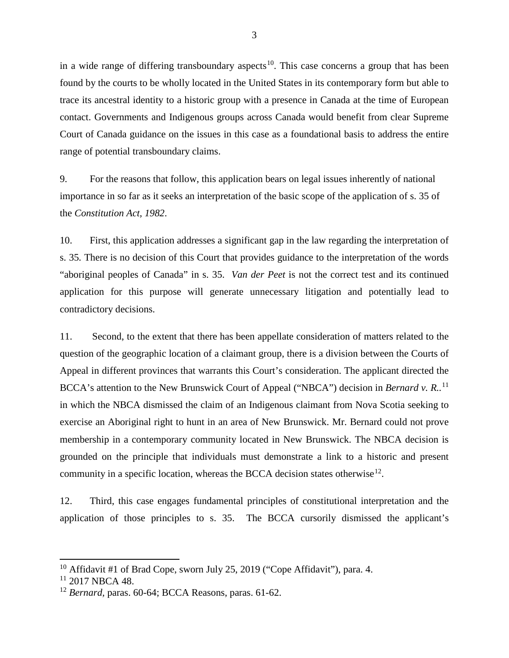in a wide range of differing transboundary aspects<sup>10</sup>. This case concerns a group that has been found by the courts to be wholly located in the United States in its contemporary form but able to trace its ancestral identity to a historic group with a presence in Canada at the time of European contact. Governments and Indigenous groups across Canada would benefit from clear Supreme Court of Canada guidance on the issues in this case as a foundational basis to address the entire range of potential transboundary claims.

9. For the reasons that follow, this application bears on legal issues inherently of national importance in so far as it seeks an interpretation of the basic scope of the application of s. 35 of the *Constitution Act, 1982*.

10. First, this application addresses a significant gap in the law regarding the interpretation of s. 35*.* There is no decision of this Court that provides guidance to the interpretation of the words "aboriginal peoples of Canada" in s. 35. *Van der Peet* is not the correct test and its continued application for this purpose will generate unnecessary litigation and potentially lead to contradictory decisions.

11. Second, to the extent that there has been appellate consideration of matters related to the question of the geographic location of a claimant group, there is a division between the Courts of Appeal in different provinces that warrants this Court's consideration. The applicant directed the BCCA's attention to the New Brunswick Court of Appeal ("NBCA") decision in *Bernard v. R.*.<sup>[11](#page-5-1)</sup> in which the NBCA dismissed the claim of an Indigenous claimant from Nova Scotia seeking to exercise an Aboriginal right to hunt in an area of New Brunswick. Mr. Bernard could not prove membership in a contemporary community located in New Brunswick. The NBCA decision is grounded on the principle that individuals must demonstrate a link to a historic and present community in a specific location, whereas the BCCA decision states otherwise<sup>[12](#page-5-2)</sup>.

12. Third, this case engages fundamental principles of constitutional interpretation and the application of those principles to s. 35. The BCCA cursorily dismissed the applicant's

<span id="page-5-0"></span><sup>&</sup>lt;sup>10</sup> Affidavit #1 of Brad Cope, sworn July 25, 2019 ("Cope Affidavit"), para. 4.

<span id="page-5-1"></span> $11$  2017 NBCA 48.

<span id="page-5-2"></span><sup>12</sup> *Bernard,* paras. 60-64; BCCA Reasons, paras. 61-62.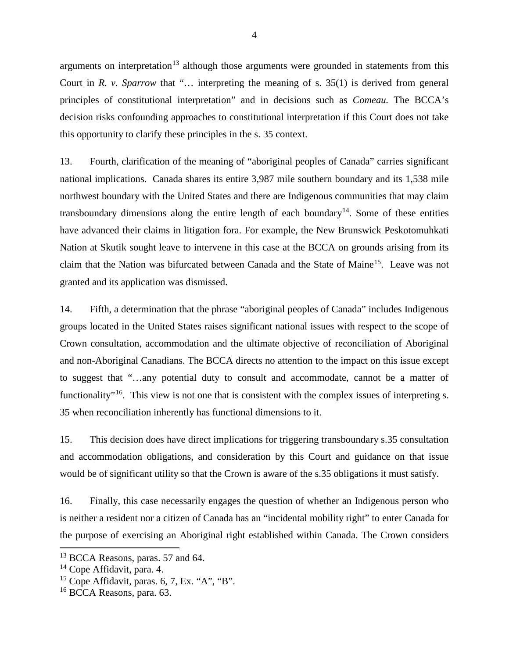arguments on interpretation<sup>[13](#page-6-0)</sup> although those arguments were grounded in statements from this Court in *R. v. Sparrow* that "… interpreting the meaning of s. 35(1) is derived from general principles of constitutional interpretation" and in decisions such as *Comeau.* The BCCA's decision risks confounding approaches to constitutional interpretation if this Court does not take this opportunity to clarify these principles in the s. 35 context.

13. Fourth, clarification of the meaning of "aboriginal peoples of Canada" carries significant national implications. Canada shares its entire 3,987 mile southern boundary and its 1,538 mile northwest boundary with the United States and there are Indigenous communities that may claim transboundary dimensions along the entire length of each boundary<sup>[14](#page-6-1)</sup>. Some of these entities have advanced their claims in litigation fora. For example, the New Brunswick Peskotomuhkati Nation at Skutik sought leave to intervene in this case at the BCCA on grounds arising from its claim that the Nation was bifurcated between Canada and the State of Maine<sup>15</sup>. Leave was not granted and its application was dismissed.

14. Fifth, a determination that the phrase "aboriginal peoples of Canada" includes Indigenous groups located in the United States raises significant national issues with respect to the scope of Crown consultation, accommodation and the ultimate objective of reconciliation of Aboriginal and non-Aboriginal Canadians. The BCCA directs no attention to the impact on this issue except to suggest that "…any potential duty to consult and accommodate, cannot be a matter of functionality<sup>"[16](#page-6-3)</sup>. This view is not one that is consistent with the complex issues of interpreting s. 35 when reconciliation inherently has functional dimensions to it.

15. This decision does have direct implications for triggering transboundary s.35 consultation and accommodation obligations, and consideration by this Court and guidance on that issue would be of significant utility so that the Crown is aware of the s.35 obligations it must satisfy.

16. Finally, this case necessarily engages the question of whether an Indigenous person who is neither a resident nor a citizen of Canada has an "incidental mobility right" to enter Canada for the purpose of exercising an Aboriginal right established within Canada. The Crown considers

<span id="page-6-0"></span><sup>&</sup>lt;sup>13</sup> BCCA Reasons, paras. 57 and 64.

<span id="page-6-1"></span><sup>&</sup>lt;sup>14</sup> Cope Affidavit, para. 4.

<span id="page-6-2"></span> $15$  Cope Affidavit, paras. 6, 7, Ex. "A", "B".

<span id="page-6-3"></span><sup>16</sup> BCCA Reasons, para. 63.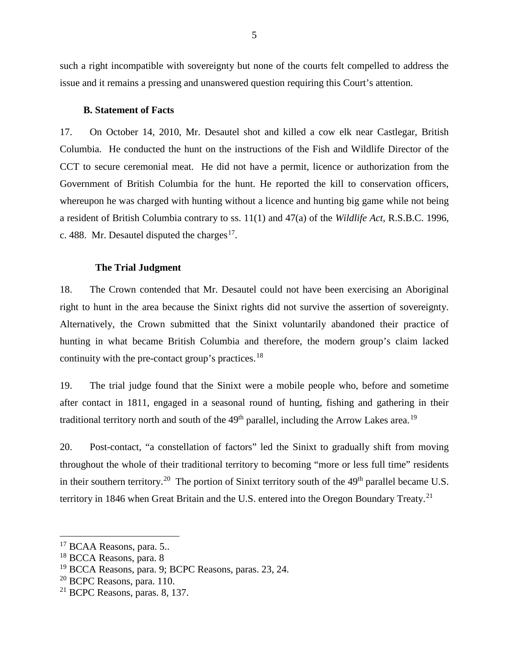such a right incompatible with sovereignty but none of the courts felt compelled to address the issue and it remains a pressing and unanswered question requiring this Court's attention.

#### **B. Statement of Facts**

<span id="page-7-0"></span>17. On October 14, 2010, Mr. Desautel shot and killed a cow elk near Castlegar, British Columbia. He conducted the hunt on the instructions of the Fish and Wildlife Director of the CCT to secure ceremonial meat. He did not have a permit, licence or authorization from the Government of British Columbia for the hunt. He reported the kill to conservation officers, whereupon he was charged with hunting without a licence and hunting big game while not being a resident of British Columbia contrary to ss. 11(1) and 47(a) of the *Wildlife Act,* R.S.B.C. 1996, c. 488. Mr. Desautel disputed the charges<sup>17</sup>.

#### **The Trial Judgment**

<span id="page-7-1"></span>18. The Crown contended that Mr. Desautel could not have been exercising an Aboriginal right to hunt in the area because the Sinixt rights did not survive the assertion of sovereignty. Alternatively, the Crown submitted that the Sinixt voluntarily abandoned their practice of hunting in what became British Columbia and therefore, the modern group's claim lacked continuity with the pre-contact group's practices.<sup>[18](#page-7-3)</sup>

19. The trial judge found that the Sinixt were a mobile people who, before and sometime after contact in 1811, engaged in a seasonal round of hunting, fishing and gathering in their traditional territory north and south of the  $49<sup>th</sup>$  parallel, including the Arrow Lakes area.<sup>19</sup>

20. Post-contact, "a constellation of factors" led the Sinixt to gradually shift from moving throughout the whole of their traditional territory to becoming "more or less full time" residents in their southern territory.<sup>[20](#page-7-5)</sup> The portion of Sinixt territory south of the  $49<sup>th</sup>$  parallel became U.S. territory in 1846 when Great Britain and the U.S. entered into the Oregon Boundary Treaty.<sup>[21](#page-7-6)</sup>

 $\overline{a}$ 

<span id="page-7-2"></span><sup>&</sup>lt;sup>17</sup> BCAA Reasons, para. 5..

<span id="page-7-3"></span><sup>18</sup> BCCA Reasons, para. 8

<span id="page-7-4"></span><sup>19</sup> BCCA Reasons, para. 9; BCPC Reasons, paras. 23, 24.

<span id="page-7-5"></span> $20$  BCPC Reasons, para. 110.

<span id="page-7-6"></span><sup>21</sup> BCPC Reasons, paras. 8, 137.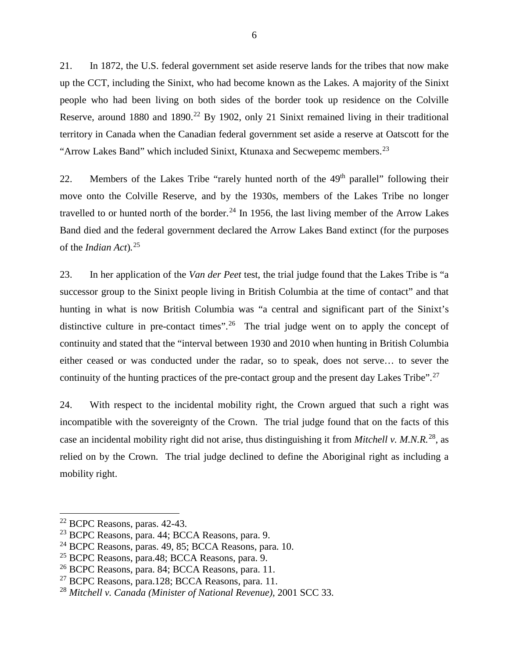21. In 1872, the U.S. federal government set aside reserve lands for the tribes that now make up the CCT, including the Sinixt, who had become known as the Lakes. A majority of the Sinixt people who had been living on both sides of the border took up residence on the Colville Reserve, around 1880 and 1890.<sup>[22](#page-8-0)</sup> By 1902, only 21 Sinixt remained living in their traditional territory in Canada when the Canadian federal government set aside a reserve at Oatscott for the "Arrow Lakes Band" which included Sinixt, Ktunaxa and Secwepemc members.<sup>[23](#page-8-1)</sup>

22. Members of the Lakes Tribe "rarely hunted north of the  $49<sup>th</sup>$  parallel" following their move onto the Colville Reserve, and by the 1930s, members of the Lakes Tribe no longer travelled to or hunted north of the border.<sup>[24](#page-8-2)</sup> In 1956, the last living member of the Arrow Lakes Band died and the federal government declared the Arrow Lakes Band extinct (for the purposes of the *Indian Act*)*.* [25](#page-8-3)

23. In her application of the *Van der Peet* test, the trial judge found that the Lakes Tribe is "a successor group to the Sinixt people living in British Columbia at the time of contact" and that hunting in what is now British Columbia was "a central and significant part of the Sinixt's distinctive culture in pre-contact times". <sup>[26](#page-8-4)</sup> The trial judge went on to apply the concept of continuity and stated that the "interval between 1930 and 2010 when hunting in British Columbia either ceased or was conducted under the radar, so to speak, does not serve… to sever the continuity of the hunting practices of the pre-contact group and the present day Lakes Tribe".<sup>[27](#page-8-5)</sup>

24. With respect to the incidental mobility right, the Crown argued that such a right was incompatible with the sovereignty of the Crown. The trial judge found that on the facts of this case an incidental mobility right did not arise, thus distinguishing it from *Mitchell v. M.N.R.*[28](#page-8-6), as relied on by the Crown. The trial judge declined to define the Aboriginal right as including a mobility right.

<span id="page-8-0"></span><sup>22</sup> BCPC Reasons, paras. 42-43.

<span id="page-8-1"></span><sup>23</sup> BCPC Reasons, para. 44; BCCA Reasons, para. 9.

<span id="page-8-2"></span><sup>24</sup> BCPC Reasons, paras. 49, 85; BCCA Reasons, para. 10.

<span id="page-8-3"></span><sup>25</sup> BCPC Reasons, para.48; BCCA Reasons, para. 9.

<span id="page-8-4"></span><sup>26</sup> BCPC Reasons, para. 84; BCCA Reasons, para. 11.

<span id="page-8-5"></span> $^{27}$  BCPC Reasons, para.128; BCCA Reasons, para. 11.

<span id="page-8-6"></span><sup>28</sup> *Mitchell v. Canada (Minister of National Revenue),* 2001 SCC 33.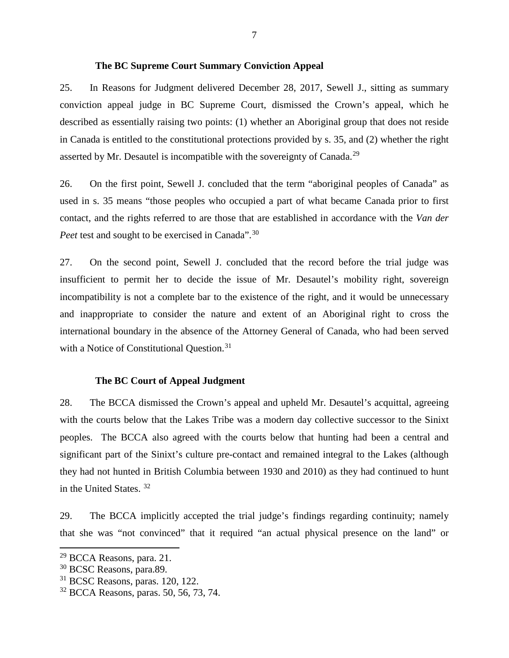#### **The BC Supreme Court Summary Conviction Appeal**

<span id="page-9-0"></span>25. In Reasons for Judgment delivered December 28, 2017, Sewell J., sitting as summary conviction appeal judge in BC Supreme Court, dismissed the Crown's appeal, which he described as essentially raising two points: (1) whether an Aboriginal group that does not reside in Canada is entitled to the constitutional protections provided by s. 35, and (2) whether the right asserted by Mr. Desautel is incompatible with the sovereignty of Canada.<sup>[29](#page-9-2)</sup>

26. On the first point, Sewell J. concluded that the term "aboriginal peoples of Canada" as used in s. 35 means "those peoples who occupied a part of what became Canada prior to first contact, and the rights referred to are those that are established in accordance with the *Van der Peet* test and sought to be exercised in Canada".<sup>[30](#page-9-3)</sup>

27. On the second point, Sewell J. concluded that the record before the trial judge was insufficient to permit her to decide the issue of Mr. Desautel's mobility right, sovereign incompatibility is not a complete bar to the existence of the right, and it would be unnecessary and inappropriate to consider the nature and extent of an Aboriginal right to cross the international boundary in the absence of the Attorney General of Canada, who had been served with a Notice of Constitutional Question.<sup>[31](#page-9-4)</sup>

#### **The BC Court of Appeal Judgment**

<span id="page-9-1"></span>28. The BCCA dismissed the Crown's appeal and upheld Mr. Desautel's acquittal, agreeing with the courts below that the Lakes Tribe was a modern day collective successor to the Sinixt peoples. The BCCA also agreed with the courts below that hunting had been a central and significant part of the Sinixt's culture pre-contact and remained integral to the Lakes (although they had not hunted in British Columbia between 1930 and 2010) as they had continued to hunt in the United States. [32](#page-9-5)

29. The BCCA implicitly accepted the trial judge's findings regarding continuity; namely that she was "not convinced" that it required "an actual physical presence on the land" or

<span id="page-9-2"></span><sup>29</sup> BCCA Reasons, para. 21.

<span id="page-9-3"></span><sup>&</sup>lt;sup>30</sup> BCSC Reasons, para.89.

<span id="page-9-4"></span><sup>31</sup> BCSC Reasons, paras. 120, 122.

<span id="page-9-5"></span><sup>32</sup> BCCA Reasons, paras. 50, 56, 73, 74.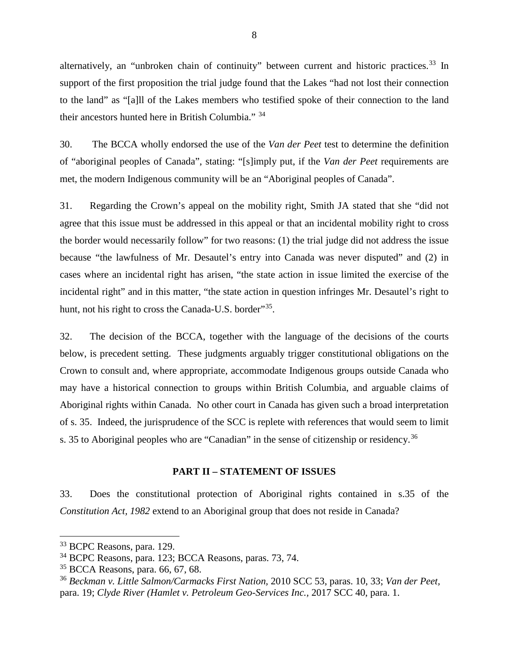alternatively, an "unbroken chain of continuity" between current and historic practices.<sup>[33](#page-10-1)</sup> In support of the first proposition the trial judge found that the Lakes "had not lost their connection to the land" as "[a]ll of the Lakes members who testified spoke of their connection to the land their ancestors hunted here in British Columbia." [34](#page-10-2)

30. The BCCA wholly endorsed the use of the *Van der Peet* test to determine the definition of "aboriginal peoples of Canada", stating: "[s]imply put, if the *Van der Peet* requirements are met, the modern Indigenous community will be an "Aboriginal peoples of Canada".

31. Regarding the Crown's appeal on the mobility right, Smith JA stated that she "did not agree that this issue must be addressed in this appeal or that an incidental mobility right to cross the border would necessarily follow" for two reasons: (1) the trial judge did not address the issue because "the lawfulness of Mr. Desautel's entry into Canada was never disputed" and (2) in cases where an incidental right has arisen, "the state action in issue limited the exercise of the incidental right" and in this matter, "the state action in question infringes Mr. Desautel's right to hunt, not his right to cross the Canada-U.S. border<sup>35</sup>.

32. The decision of the BCCA, together with the language of the decisions of the courts below, is precedent setting. These judgments arguably trigger constitutional obligations on the Crown to consult and, where appropriate, accommodate Indigenous groups outside Canada who may have a historical connection to groups within British Columbia, and arguable claims of Aboriginal rights within Canada. No other court in Canada has given such a broad interpretation of s. 35. Indeed, the jurisprudence of the SCC is replete with references that would seem to limit s. 35 to Aboriginal peoples who are "Canadian" in the sense of citizenship or residency.<sup>[36](#page-10-4)</sup>

#### **PART II – STATEMENT OF ISSUES**

<span id="page-10-0"></span>33. Does the constitutional protection of Aboriginal rights contained in s.35 of the *Constitution Act, 1982* extend to an Aboriginal group that does not reside in Canada?

 $\overline{a}$ 

<span id="page-10-1"></span><sup>33</sup> BCPC Reasons, para. 129.

<span id="page-10-2"></span><sup>34</sup> BCPC Reasons, para. 123; BCCA Reasons, paras. 73, 74.

<span id="page-10-3"></span><sup>35</sup> BCCA Reasons, para. 66, 67, 68.

<span id="page-10-4"></span><sup>36</sup> *Beckman v. Little Salmon/Carmacks First Nation,* 2010 SCC 53, paras. 10, 33; *Van der Peet,*  para. 19; *Clyde River (Hamlet v. Petroleum Geo-Services Inc.,* 2017 SCC 40, para. 1.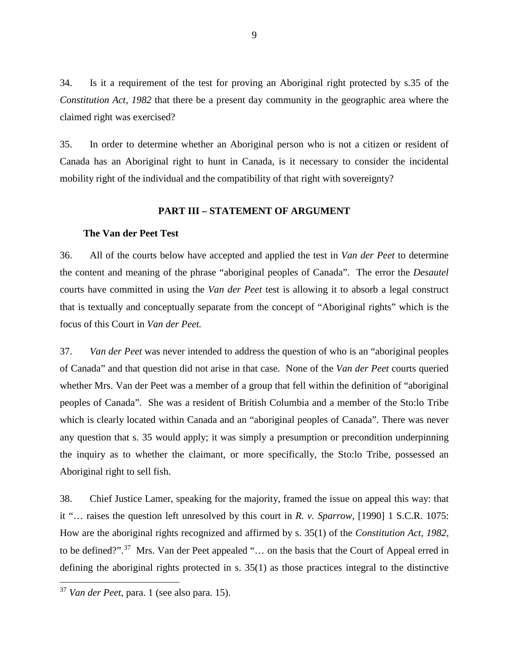34. Is it a requirement of the test for proving an Aboriginal right protected by s.35 of the *Constitution Act, 1982* that there be a present day community in the geographic area where the claimed right was exercised?

35. In order to determine whether an Aboriginal person who is not a citizen or resident of Canada has an Aboriginal right to hunt in Canada, is it necessary to consider the incidental mobility right of the individual and the compatibility of that right with sovereignty?

#### **PART III – STATEMENT OF ARGUMENT**

#### <span id="page-11-0"></span>**The Van der Peet Test**

<span id="page-11-1"></span>36. All of the courts below have accepted and applied the test in *Van der Peet* to determine the content and meaning of the phrase "aboriginal peoples of Canada". The error the *Desautel*  courts have committed in using the *Van der Peet* test is allowing it to absorb a legal construct that is textually and conceptually separate from the concept of "Aboriginal rights" which is the focus of this Court in *Van der Peet.*

37. *Van der Peet* was never intended to address the question of who is an "aboriginal peoples of Canada" and that question did not arise in that case. None of the *Van der Peet* courts queried whether Mrs. Van der Peet was a member of a group that fell within the definition of "aboriginal peoples of Canada". She was a resident of British Columbia and a member of the Sto:lo Tribe which is clearly located within Canada and an "aboriginal peoples of Canada". There was never any question that s. 35 would apply; it was simply a presumption or precondition underpinning the inquiry as to whether the claimant, or more specifically, the Sto:lo Tribe, possessed an Aboriginal right to sell fish.

38. Chief Justice Lamer, speaking for the majority, framed the issue on appeal this way: that it "… raises the question left unresolved by this court in *R. v. Sparrow,* [1990] 1 S.C.R. 1075: How are the aboriginal rights recognized and affirmed by s. 35(1) of the *Constitution Act, 1982*, to be defined?".<sup>[37](#page-11-2)</sup> Mrs. Van der Peet appealed "... on the basis that the Court of Appeal erred in defining the aboriginal rights protected in s. 35(1) as those practices integral to the distinctive

<span id="page-11-2"></span><sup>37</sup> *Van der Peet*, para. 1 (see also para. 15).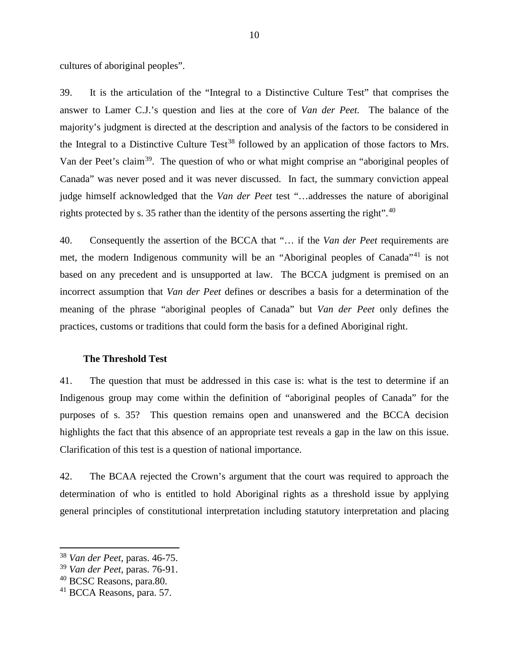cultures of aboriginal peoples".

39. It is the articulation of the "Integral to a Distinctive Culture Test" that comprises the answer to Lamer C.J.'s question and lies at the core of *Van der Peet.* The balance of the majority's judgment is directed at the description and analysis of the factors to be considered in the Integral to a Distinctive Culture  $Test^{38}$  $Test^{38}$  $Test^{38}$  followed by an application of those factors to Mrs. Van der Peet's claim<sup>39</sup>. The question of who or what might comprise an "aboriginal peoples of Canada" was never posed and it was never discussed. In fact, the summary conviction appeal judge himself acknowledged that the *Van der Peet* test "…addresses the nature of aboriginal rights protected by s. 35 rather than the identity of the persons asserting the right".<sup>[40](#page-12-3)</sup>

40. Consequently the assertion of the BCCA that "… if the *Van der Peet* requirements are met, the modern Indigenous community will be an "Aboriginal peoples of Canada"<sup>[41](#page-12-4)</sup> is not based on any precedent and is unsupported at law. The BCCA judgment is premised on an incorrect assumption that *Van der Peet* defines or describes a basis for a determination of the meaning of the phrase "aboriginal peoples of Canada" but *Van der Peet* only defines the practices, customs or traditions that could form the basis for a defined Aboriginal right.

#### **The Threshold Test**

<span id="page-12-0"></span>41. The question that must be addressed in this case is: what is the test to determine if an Indigenous group may come within the definition of "aboriginal peoples of Canada" for the purposes of s. 35? This question remains open and unanswered and the BCCA decision highlights the fact that this absence of an appropriate test reveals a gap in the law on this issue. Clarification of this test is a question of national importance.

42. The BCAA rejected the Crown's argument that the court was required to approach the determination of who is entitled to hold Aboriginal rights as a threshold issue by applying general principles of constitutional interpretation including statutory interpretation and placing

<span id="page-12-1"></span><sup>38</sup> *Van der Peet,* paras. 46-75.

<span id="page-12-2"></span><sup>39</sup> *Van der Peet,* paras. 76-91.

<span id="page-12-3"></span><sup>&</sup>lt;sup>40</sup> BCSC Reasons, para.80.

<span id="page-12-4"></span><sup>41</sup> BCCA Reasons, para. 57.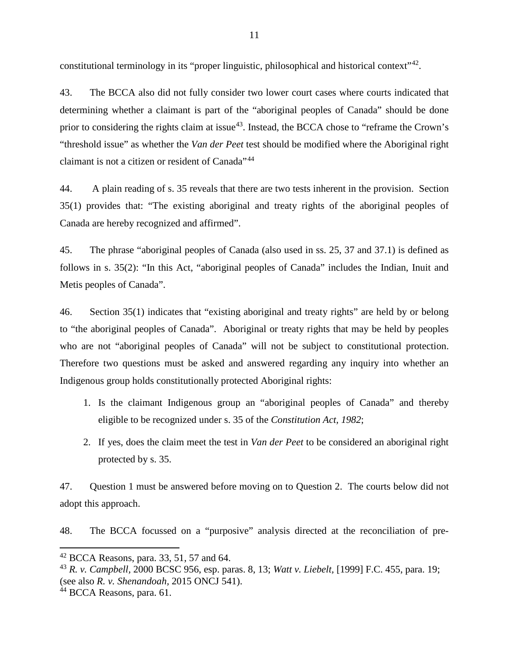constitutional terminology in its "proper linguistic, philosophical and historical context"<sup>42</sup>.

43. The BCCA also did not fully consider two lower court cases where courts indicated that determining whether a claimant is part of the "aboriginal peoples of Canada" should be done prior to considering the rights claim at issue<sup>[43](#page-13-1)</sup>. Instead, the BCCA chose to "reframe the Crown's "threshold issue" as whether the *Van der Peet* test should be modified where the Aboriginal right claimant is not a citizen or resident of Canada"<sup>[44](#page-13-2)</sup>

44. A plain reading of s. 35 reveals that there are two tests inherent in the provision. Section 35(1) provides that: "The existing aboriginal and treaty rights of the aboriginal peoples of Canada are hereby recognized and affirmed".

45. The phrase "aboriginal peoples of Canada (also used in ss. 25, 37 and 37.1) is defined as follows in s. 35(2): "In this Act, "aboriginal peoples of Canada" includes the Indian, Inuit and Metis peoples of Canada".

46. Section 35(1) indicates that "existing aboriginal and treaty rights" are held by or belong to "the aboriginal peoples of Canada". Aboriginal or treaty rights that may be held by peoples who are not "aboriginal peoples of Canada" will not be subject to constitutional protection. Therefore two questions must be asked and answered regarding any inquiry into whether an Indigenous group holds constitutionally protected Aboriginal rights:

- 1. Is the claimant Indigenous group an "aboriginal peoples of Canada" and thereby eligible to be recognized under s. 35 of the *Constitution Act, 1982*;
- 2. If yes, does the claim meet the test in *Van der Peet* to be considered an aboriginal right protected by s. 35.

47. Question 1 must be answered before moving on to Question 2. The courts below did not adopt this approach.

48. The BCCA focussed on a "purposive" analysis directed at the reconciliation of pre-

<span id="page-13-0"></span> $42$  BCCA Reasons, para. 33, 51, 57 and 64.

<span id="page-13-1"></span><sup>43</sup> *R. v. Campbell,* 2000 BCSC 956, esp. paras. 8, 13; *Watt v. Liebelt,* [1999] F.C. 455, para. 19; (see also *R. v. Shenandoah,* 2015 ONCJ 541).

<span id="page-13-2"></span><sup>44</sup> BCCA Reasons, para. 61.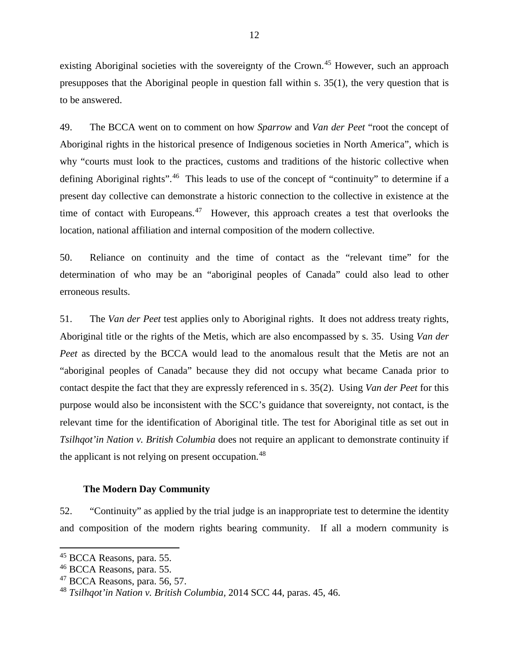existing Aboriginal societies with the sovereignty of the Crown.<sup>[45](#page-14-1)</sup> However, such an approach presupposes that the Aboriginal people in question fall within s. 35(1), the very question that is to be answered.

49. The BCCA went on to comment on how *Sparrow* and *Van der Peet* "root the concept of Aboriginal rights in the historical presence of Indigenous societies in North America", which is why "courts must look to the practices, customs and traditions of the historic collective when defining Aboriginal rights".<sup>46</sup> This leads to use of the concept of "continuity" to determine if a present day collective can demonstrate a historic connection to the collective in existence at the time of contact with Europeans.<sup>[47](#page-14-3)</sup> However, this approach creates a test that overlooks the location, national affiliation and internal composition of the modern collective.

50. Reliance on continuity and the time of contact as the "relevant time" for the determination of who may be an "aboriginal peoples of Canada" could also lead to other erroneous results.

51. The *Van der Peet* test applies only to Aboriginal rights. It does not address treaty rights, Aboriginal title or the rights of the Metis, which are also encompassed by s. 35. Using *Van der Peet* as directed by the BCCA would lead to the anomalous result that the Metis are not an "aboriginal peoples of Canada" because they did not occupy what became Canada prior to contact despite the fact that they are expressly referenced in s. 35(2). Using *Van der Peet* for this purpose would also be inconsistent with the SCC's guidance that sovereignty, not contact, is the relevant time for the identification of Aboriginal title. The test for Aboriginal title as set out in *Tsilhqot'in Nation v. British Columbia* does not require an applicant to demonstrate continuity if the applicant is not relying on present occupation.<sup>48</sup>

#### **The Modern Day Community**

<span id="page-14-0"></span>52. "Continuity" as applied by the trial judge is an inappropriate test to determine the identity and composition of the modern rights bearing community. If all a modern community is

<span id="page-14-1"></span><sup>&</sup>lt;sup>45</sup> BCCA Reasons, para. 55.

<span id="page-14-2"></span><sup>&</sup>lt;sup>46</sup> BCCA Reasons, para. 55.

<span id="page-14-3"></span> $47$  BCCA Reasons, para. 56, 57.

<span id="page-14-4"></span><sup>48</sup> *Tsilhqot'in Nation v. British Columbia,* 2014 SCC 44*,* paras. 45, 46.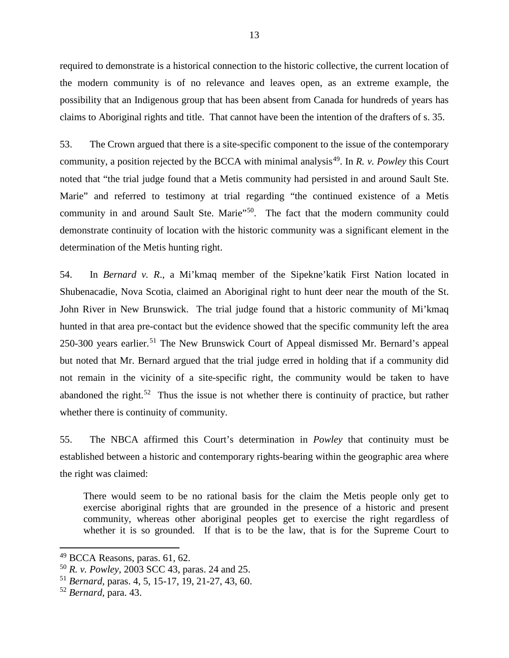required to demonstrate is a historical connection to the historic collective, the current location of the modern community is of no relevance and leaves open, as an extreme example, the possibility that an Indigenous group that has been absent from Canada for hundreds of years has claims to Aboriginal rights and title. That cannot have been the intention of the drafters of s. 35.

53. The Crown argued that there is a site-specific component to the issue of the contemporary community, a position rejected by the BCCA with minimal analysis<sup>49</sup>. In *R. v. Powley* this Court noted that "the trial judge found that a Metis community had persisted in and around Sault Ste. Marie" and referred to testimony at trial regarding "the continued existence of a Metis community in and around Sault Ste. Marie"<sup>50</sup>. The fact that the modern community could demonstrate continuity of location with the historic community was a significant element in the determination of the Metis hunting right.

54. In *Bernard v. R*., a Mi'kmaq member of the Sipekne'katik First Nation located in Shubenacadie, Nova Scotia, claimed an Aboriginal right to hunt deer near the mouth of the St. John River in New Brunswick. The trial judge found that a historic community of Mi'kmaq hunted in that area pre-contact but the evidence showed that the specific community left the area 250-300 years earlier.<sup>[51](#page-15-2)</sup> The New Brunswick Court of Appeal dismissed Mr. Bernard's appeal but noted that Mr. Bernard argued that the trial judge erred in holding that if a community did not remain in the vicinity of a site-specific right, the community would be taken to have abandoned the right.<sup>[52](#page-15-3)</sup> Thus the issue is not whether there is continuity of practice, but rather whether there is continuity of community.

55. The NBCA affirmed this Court's determination in *Powley* that continuity must be established between a historic and contemporary rights-bearing within the geographic area where the right was claimed:

There would seem to be no rational basis for the claim the Metis people only get to exercise aboriginal rights that are grounded in the presence of a historic and present community, whereas other aboriginal peoples get to exercise the right regardless of whether it is so grounded. If that is to be the law, that is for the Supreme Court to

<span id="page-15-0"></span> $49$  BCCA Reasons, paras. 61, 62.

<span id="page-15-1"></span><sup>50</sup> *R. v. Powley,* 2003 SCC 43, paras. 24 and 25.

<span id="page-15-2"></span><sup>51</sup> *Bernard,* paras. 4, 5, 15-17, 19, 21-27, 43, 60.

<span id="page-15-3"></span><sup>52</sup> *Bernard*, para. 43.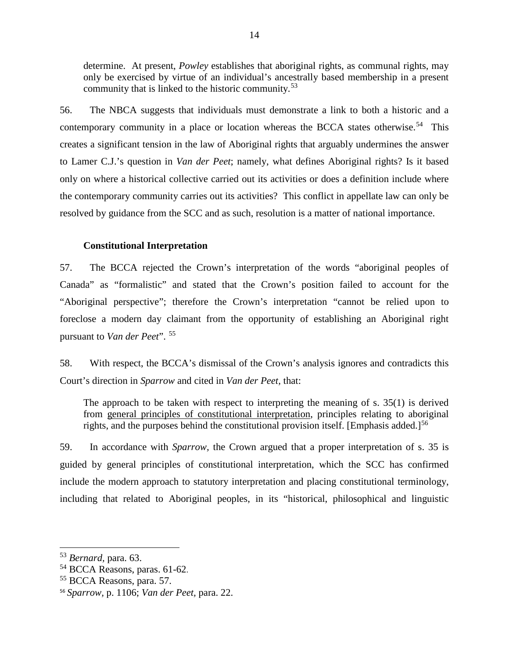determine. At present, *Powley* establishes that aboriginal rights, as communal rights, may only be exercised by virtue of an individual's ancestrally based membership in a present community that is linked to the historic community.[53](#page-16-1)

56. The NBCA suggests that individuals must demonstrate a link to both a historic and a contemporary community in a place or location whereas the BCCA states otherwise.<sup>54</sup> This creates a significant tension in the law of Aboriginal rights that arguably undermines the answer to Lamer C.J.'s question in *Van der Peet*; namely, what defines Aboriginal rights? Is it based only on where a historical collective carried out its activities or does a definition include where the contemporary community carries out its activities? This conflict in appellate law can only be resolved by guidance from the SCC and as such, resolution is a matter of national importance.

#### **Constitutional Interpretation**

<span id="page-16-0"></span>57. The BCCA rejected the Crown's interpretation of the words "aboriginal peoples of Canada" as "formalistic" and stated that the Crown's position failed to account for the "Aboriginal perspective"; therefore the Crown's interpretation "cannot be relied upon to foreclose a modern day claimant from the opportunity of establishing an Aboriginal right pursuant to *Van der Peet*". [55](#page-16-3)

58. With respect, the BCCA's dismissal of the Crown's analysis ignores and contradicts this Court's direction in *Sparrow* and cited in *Van der Peet,* that:

The approach to be taken with respect to interpreting the meaning of s. 35(1) is derived from general principles of constitutional interpretation, principles relating to aboriginal rights, and the purposes behind the constitutional provision itself. [Emphasis added.]<sup>[56](#page-16-4)</sup>

59. In accordance with *Sparrow,* the Crown argued that a proper interpretation of s. 35 is guided by general principles of constitutional interpretation, which the SCC has confirmed include the modern approach to statutory interpretation and placing constitutional terminology, including that related to Aboriginal peoples, in its "historical, philosophical and linguistic

<span id="page-16-1"></span><sup>53</sup> *Bernard,* para. 63.

<span id="page-16-2"></span><sup>54</sup> BCCA Reasons, paras. 61-62.

<span id="page-16-3"></span><sup>55</sup> BCCA Reasons, para. 57.

<span id="page-16-4"></span><sup>56</sup> *Sparrow,* p. 1106; *Van der Peet,* para. 22.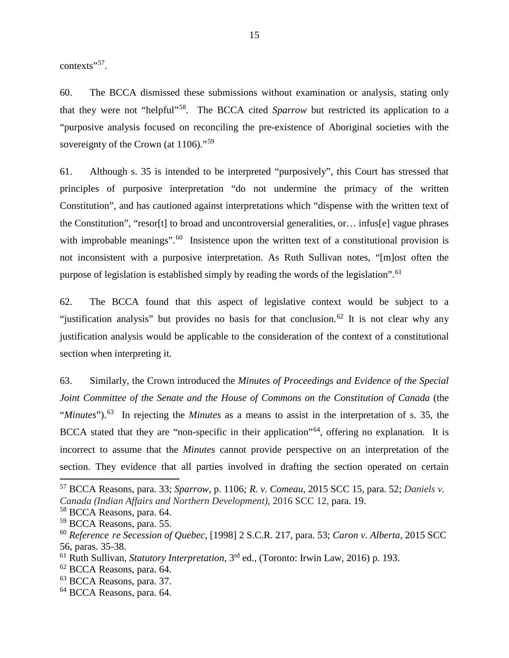contexts"<sup>[57](#page-17-0)</sup>.

60. The BCCA dismissed these submissions without examination or analysis, stating only that they were not "helpful"[58.](#page-17-1) The BCCA cited *Sparrow* but restricted its application to a "purposive analysis focused on reconciling the pre-existence of Aboriginal societies with the sovereignty of the Crown (at 1106)."<sup>[59](#page-17-2)</sup>

61. Although s. 35 is intended to be interpreted "purposively", this Court has stressed that principles of purposive interpretation "do not undermine the primacy of the written Constitution", and has cautioned against interpretations which "dispense with the written text of the Constitution", "resor[t] to broad and uncontroversial generalities, or… infus[e] vague phrases with improbable meanings".<sup>60</sup> Insistence upon the written text of a constitutional provision is not inconsistent with a purposive interpretation. As Ruth Sullivan notes, "[m]ost often the purpose of legislation is established simply by reading the words of the legislation".<sup>[61](#page-17-4)</sup>

62. The BCCA found that this aspect of legislative context would be subject to a "justification analysis" but provides no basis for that conclusion.<sup>[62](#page-17-5)</sup> It is not clear why any justification analysis would be applicable to the consideration of the context of a constitutional section when interpreting it.

63. Similarly, the Crown introduced the *Minutes of Proceedings and Evidence of the Special Joint Committee of the Senate and the House of Commons on the Constitution of Canada* (the "*Minutes*").[63](#page-17-6) In rejecting the *Minutes* as a means to assist in the interpretation of s. 35, the BCCA stated that they are "non-specific in their application"<sup>[64](#page-17-7)</sup>, offering no explanation. It is incorrect to assume that the *Minutes* cannot provide perspective on an interpretation of the section. They evidence that all parties involved in drafting the section operated on certain

 $\overline{a}$ 

<span id="page-17-0"></span><sup>57</sup> BCCA Reasons, para. 33; *Sparrow,* p. 1106*; R. v. Comeau,* 2015 SCC 15, para. 52; *Daniels v. Canada (Indian Affairs and Northern Development)*, 2016 SCC 12, para. 19.

<span id="page-17-1"></span><sup>58</sup> BCCA Reasons, para. 64.

<span id="page-17-2"></span><sup>&</sup>lt;sup>59</sup> BCCA Reasons, para. 55.

<span id="page-17-3"></span><sup>60</sup> *Reference re Secession of Quebec,* [1998] 2 S.C.R. 217, para. 53; *Caron v. Alberta,* 2015 SCC 56, paras. 35-38.

<span id="page-17-4"></span><sup>61</sup> Ruth Sullivan, *Statutory Interpretation,* 3rd ed., (Toronto: Irwin Law, 2016) p. 193.

<span id="page-17-5"></span><sup>62</sup> BCCA Reasons, para. 64.

<span id="page-17-6"></span><sup>63</sup> BCCA Reasons, para. 37.

<span id="page-17-7"></span><sup>64</sup> BCCA Reasons, para. 64.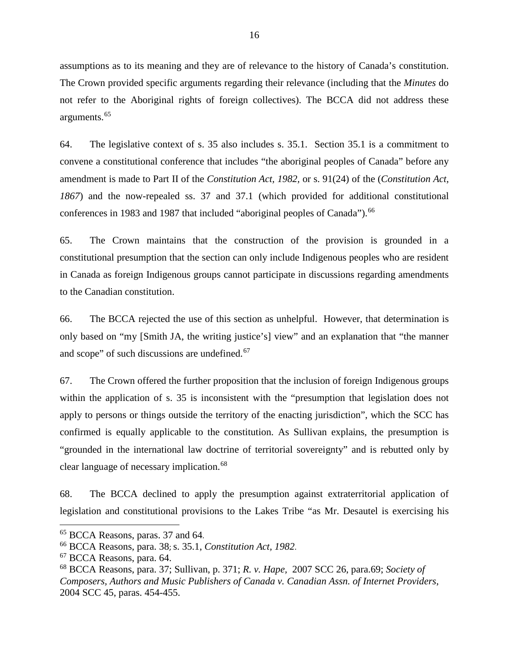assumptions as to its meaning and they are of relevance to the history of Canada's constitution. The Crown provided specific arguments regarding their relevance (including that the *Minutes* do not refer to the Aboriginal rights of foreign collectives). The BCCA did not address these arguments.[65](#page-18-0)

64. The legislative context of s. 35 also includes s. 35.1. Section 35.1 is a commitment to convene a constitutional conference that includes "the aboriginal peoples of Canada" before any amendment is made to Part II of the *Constitution Act, 1982,* or s. 91(24) of the (*Constitution Act, 1867*) and the now-repealed ss. 37 and 37.1 (which provided for additional constitutional conferences in 1983 and 1987 that included "aboriginal peoples of Canada"). <sup>[66](#page-18-1)</sup>

65. The Crown maintains that the construction of the provision is grounded in a constitutional presumption that the section can only include Indigenous peoples who are resident in Canada as foreign Indigenous groups cannot participate in discussions regarding amendments to the Canadian constitution.

66. The BCCA rejected the use of this section as unhelpful. However, that determination is only based on "my [Smith JA, the writing justice's] view" and an explanation that "the manner and scope" of such discussions are undefined.<sup>67</sup>

67. The Crown offered the further proposition that the inclusion of foreign Indigenous groups within the application of s. 35 is inconsistent with the "presumption that legislation does not apply to persons or things outside the territory of the enacting jurisdiction", which the SCC has confirmed is equally applicable to the constitution. As Sullivan explains, the presumption is "grounded in the international law doctrine of territorial sovereignty" and is rebutted only by clear language of necessary implication.<sup>[68](#page-18-3)</sup>

68. The BCCA declined to apply the presumption against extraterritorial application of legislation and constitutional provisions to the Lakes Tribe "as Mr. Desautel is exercising his

<span id="page-18-0"></span><sup>65</sup> BCCA Reasons, paras. 37 and 64.

<span id="page-18-1"></span><sup>66</sup> BCCA Reasons, para. 38; s. 35.1, *Constitution Act, 1982*.

<span id="page-18-2"></span><sup>67</sup> BCCA Reasons, para. 64.

<span id="page-18-3"></span><sup>68</sup> BCCA Reasons, para. 37; Sullivan, p. 371; *R. v. Hape,* 2007 SCC 26, para.69; *Society of Composers, Authors and Music Publishers of Canada v. Canadian Assn. of Internet Providers*, 2004 SCC 45, paras. 454-455.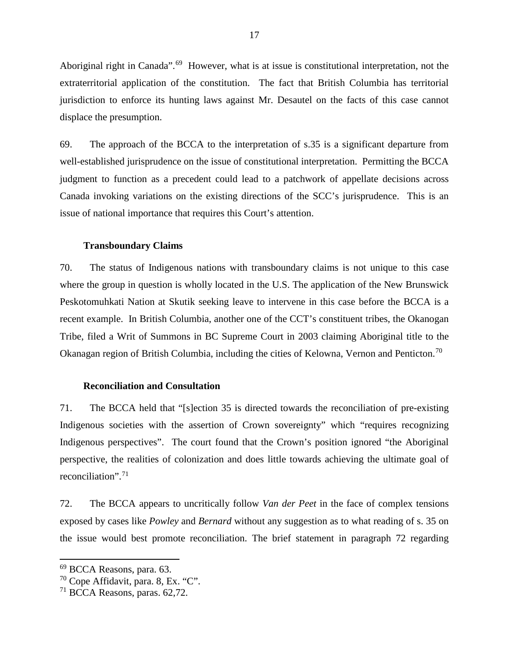Aboriginal right in Canada".<sup>[69](#page-19-2)</sup> However, what is at issue is constitutional interpretation, not the extraterritorial application of the constitution. The fact that British Columbia has territorial jurisdiction to enforce its hunting laws against Mr. Desautel on the facts of this case cannot displace the presumption.

69. The approach of the BCCA to the interpretation of s.35 is a significant departure from well-established jurisprudence on the issue of constitutional interpretation. Permitting the BCCA judgment to function as a precedent could lead to a patchwork of appellate decisions across Canada invoking variations on the existing directions of the SCC's jurisprudence. This is an issue of national importance that requires this Court's attention.

#### **Transboundary Claims**

<span id="page-19-0"></span>70. The status of Indigenous nations with transboundary claims is not unique to this case where the group in question is wholly located in the U.S. The application of the New Brunswick Peskotomuhkati Nation at Skutik seeking leave to intervene in this case before the BCCA is a recent example. In British Columbia, another one of the CCT's constituent tribes, the Okanogan Tribe, filed a Writ of Summons in BC Supreme Court in 2003 claiming Aboriginal title to the Okanagan region of British Columbia, including the cities of Kelowna, Vernon and Penticton.<sup>[70](#page-19-3)</sup>

#### **Reconciliation and Consultation**

<span id="page-19-1"></span>71. The BCCA held that "[s]ection 35 is directed towards the reconciliation of pre-existing Indigenous societies with the assertion of Crown sovereignty" which "requires recognizing Indigenous perspectives". The court found that the Crown's position ignored "the Aboriginal perspective, the realities of colonization and does little towards achieving the ultimate goal of reconciliation".[71](#page-19-4) 

72. The BCCA appears to uncritically follow *Van der Peet* in the face of complex tensions exposed by cases like *Powley* and *Bernard* without any suggestion as to what reading of s. 35 on the issue would best promote reconciliation. The brief statement in paragraph 72 regarding

<span id="page-19-2"></span><sup>69</sup> BCCA Reasons, para. 63.

<span id="page-19-3"></span> $70$  Cope Affidavit, para. 8, Ex. "C".

<span id="page-19-4"></span><sup>71</sup> BCCA Reasons, paras. 62,72.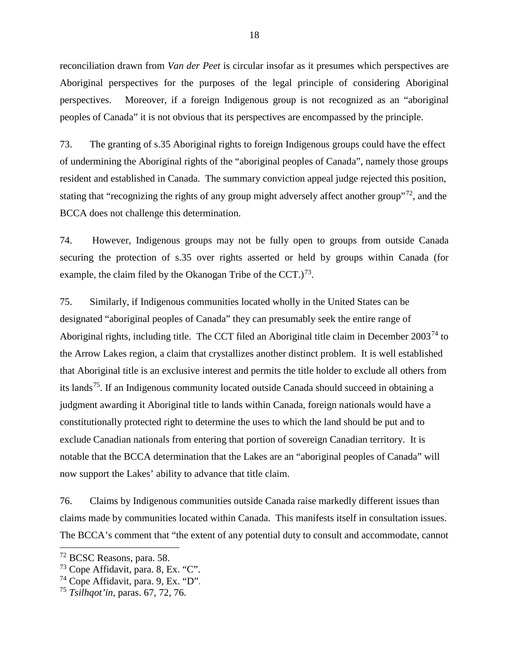reconciliation drawn from *Van der Peet* is circular insofar as it presumes which perspectives are Aboriginal perspectives for the purposes of the legal principle of considering Aboriginal perspectives. Moreover, if a foreign Indigenous group is not recognized as an "aboriginal peoples of Canada" it is not obvious that its perspectives are encompassed by the principle.

73. The granting of s.35 Aboriginal rights to foreign Indigenous groups could have the effect of undermining the Aboriginal rights of the "aboriginal peoples of Canada", namely those groups resident and established in Canada. The summary conviction appeal judge rejected this position, stating that "recognizing the rights of any group might adversely affect another group"<sup>72</sup>, and the BCCA does not challenge this determination.

74. However, Indigenous groups may not be fully open to groups from outside Canada securing the protection of s.35 over rights asserted or held by groups within Canada (for example, the claim filed by the Okanogan Tribe of the CCT.)<sup>73</sup>.

75. Similarly, if Indigenous communities located wholly in the United States can be designated "aboriginal peoples of Canada" they can presumably seek the entire range of Aboriginal rights, including title. The CCT filed an Aboriginal title claim in December 2003[74](#page-20-2) to the Arrow Lakes region, a claim that crystallizes another distinct problem. It is well established that Aboriginal title is an exclusive interest and permits the title holder to exclude all others from its lands<sup>[75](#page-20-3)</sup>. If an Indigenous community located outside Canada should succeed in obtaining a judgment awarding it Aboriginal title to lands within Canada, foreign nationals would have a constitutionally protected right to determine the uses to which the land should be put and to exclude Canadian nationals from entering that portion of sovereign Canadian territory. It is notable that the BCCA determination that the Lakes are an "aboriginal peoples of Canada" will now support the Lakes' ability to advance that title claim.

76. Claims by Indigenous communities outside Canada raise markedly different issues than claims made by communities located within Canada. This manifests itself in consultation issues. The BCCA's comment that "the extent of any potential duty to consult and accommodate, cannot

<span id="page-20-0"></span><sup>&</sup>lt;sup>72</sup> BCSC Reasons, para. 58.

<span id="page-20-1"></span> $73$  Cope Affidavit, para. 8, Ex. "C".

<span id="page-20-2"></span> $74$  Cope Affidavit, para. 9, Ex. "D".

<span id="page-20-3"></span><sup>75</sup> *Tsilhqot'in,* paras. 67, 72, 76.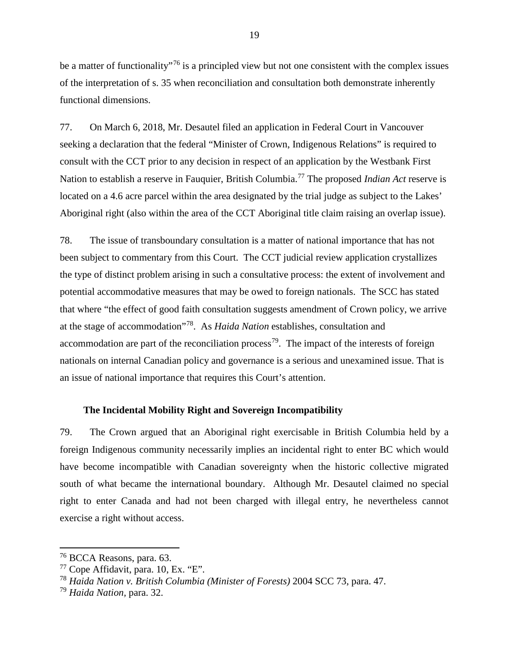be a matter of functionality<sup>"[76](#page-21-1)</sup> is a principled view but not one consistent with the complex issues of the interpretation of s. 35 when reconciliation and consultation both demonstrate inherently functional dimensions.

77. On March 6, 2018, Mr. Desautel filed an application in Federal Court in Vancouver seeking a declaration that the federal "Minister of Crown, Indigenous Relations" is required to consult with the CCT prior to any decision in respect of an application by the Westbank First Nation to establish a reserve in Fauquier, British Columbia.[77](#page-21-2) The proposed *Indian Act* reserve is located on a 4.6 acre parcel within the area designated by the trial judge as subject to the Lakes' Aboriginal right (also within the area of the CCT Aboriginal title claim raising an overlap issue).

78. The issue of transboundary consultation is a matter of national importance that has not been subject to commentary from this Court. The CCT judicial review application crystallizes the type of distinct problem arising in such a consultative process: the extent of involvement and potential accommodative measures that may be owed to foreign nationals. The SCC has stated that where "the effect of good faith consultation suggests amendment of Crown policy, we arrive at the stage of accommodation"[78.](#page-21-3) As *Haida Nation* establishes, consultation and accommodation are part of the reconciliation process<sup>[79](#page-21-4)</sup>. The impact of the interests of foreign nationals on internal Canadian policy and governance is a serious and unexamined issue. That is an issue of national importance that requires this Court's attention.

#### **The Incidental Mobility Right and Sovereign Incompatibility**

<span id="page-21-0"></span>79. The Crown argued that an Aboriginal right exercisable in British Columbia held by a foreign Indigenous community necessarily implies an incidental right to enter BC which would have become incompatible with Canadian sovereignty when the historic collective migrated south of what became the international boundary. Although Mr. Desautel claimed no special right to enter Canada and had not been charged with illegal entry, he nevertheless cannot exercise a right without access.

<span id="page-21-1"></span><sup>76</sup> BCCA Reasons, para. 63.

<span id="page-21-2"></span> $77$  Cope Affidavit, para. 10, Ex. "E".

<span id="page-21-3"></span><sup>78</sup> *Haida Nation v. British Columbia (Minister of Forests)* 2004 SCC 73, para. 47.

<span id="page-21-4"></span><sup>79</sup> *Haida Nation,* para. 32.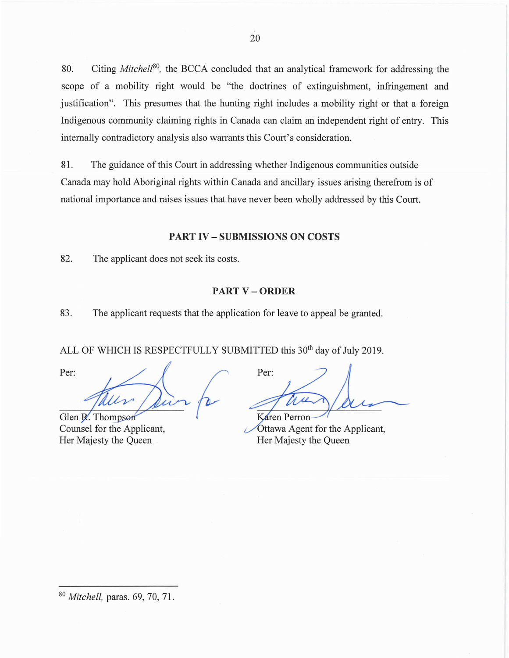80. Citing *Mitchel/*[80](#page-22-2), the BCCA concluded that an analytical framework for addressing the scope of a mobility right would be "the doctrines of extinguishment, infringement and justification". This presumes that the hunting right includes a mobility right or that a foreign Indigenous community claiming rights in Canada can claim an independent right of entry. This internally contradictory analysis also warrants this Court's consideration.

81. The guidance of this Court in addressing whether Indigenous communities outside Canada may hold Aboriginal rights within Canada and ancillary issues arising therefrom is of national importance and raises issues that have never been wholly addressed by this Court.

#### **PART IV - SUBMISSIONS ON COSTS**

<span id="page-22-0"></span>82. The applicant does not seek its costs.

#### **PART V - ORDER**

<span id="page-22-1"></span>83. The applicant requests that the application for leave to appeal be granted.

ALL OF WHICH IS RESPECTFULLY SUBMITTED this 30<sup>th</sup> day of July 2019.

Per:

Glen R. Thompson Counsel for the Applicant, Her Majesty the Queen

Per: Karen Perron

Ottawa Agent for the Applicant, Her Majesty the Queen

<span id="page-22-2"></span><sup>80</sup>*Mitchell,* paras. 69, 70, 71.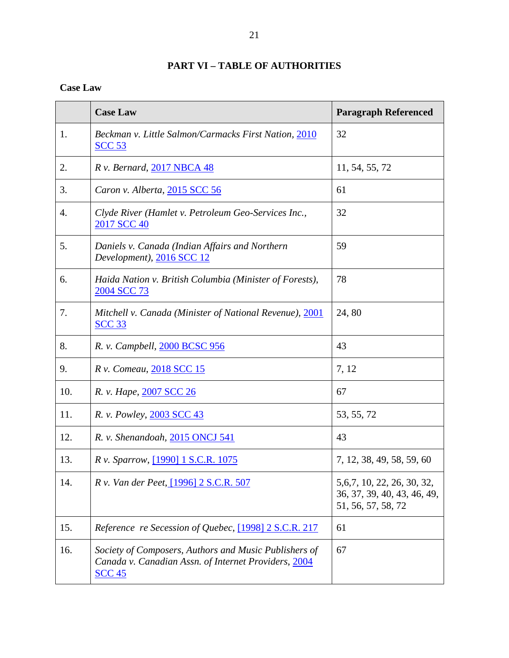## **PART VI – TABLE OF AUTHORITIES**

### <span id="page-23-0"></span>**Case Law**

|     | <b>Case Law</b>                                                                                                                | <b>Paragraph Referenced</b>                                                       |
|-----|--------------------------------------------------------------------------------------------------------------------------------|-----------------------------------------------------------------------------------|
| 1.  | Beckman v. Little Salmon/Carmacks First Nation, 2010<br><b>SCC 53</b>                                                          | 32                                                                                |
| 2.  | <i>R v. Bernard, 2017 NBCA 48</i>                                                                                              | 11, 54, 55, 72                                                                    |
| 3.  | Caron v. Alberta, 2015 SCC 56                                                                                                  | 61                                                                                |
| 4.  | Clyde River (Hamlet v. Petroleum Geo-Services Inc.,<br>2017 SCC 40                                                             | 32                                                                                |
| 5.  | Daniels v. Canada (Indian Affairs and Northern<br>Development), 2016 SCC 12                                                    | 59                                                                                |
| 6.  | Haida Nation v. British Columbia (Minister of Forests),<br>2004 SCC 73                                                         | 78                                                                                |
| 7.  | Mitchell v. Canada (Minister of National Revenue), 2001<br><b>SCC 33</b>                                                       | 24,80                                                                             |
| 8.  | R. v. Campbell, 2000 BCSC 956                                                                                                  | 43                                                                                |
| 9.  | R v. Comeau, 2018 SCC 15                                                                                                       | 7, 12                                                                             |
| 10. | R. v. Hape, 2007 SCC 26                                                                                                        | 67                                                                                |
| 11. | R. v. Powley, 2003 SCC 43                                                                                                      | 53, 55, 72                                                                        |
| 12. | R. v. Shenandoah, 2015 ONCJ 541                                                                                                | 43                                                                                |
| 13. | R v. Sparrow, [1990] 1 S.C.R. 1075                                                                                             | 7, 12, 38, 49, 58, 59, 60                                                         |
| 14. | R v. Van der Peet, [1996] 2 S.C.R. 507                                                                                         | 5, 6, 7, 10, 22, 26, 30, 32,<br>36, 37, 39, 40, 43, 46, 49,<br>51, 56, 57, 58, 72 |
| 15. | Reference re Secession of Quebec, [1998] 2 S.C.R. 217                                                                          | 61                                                                                |
| 16. | Society of Composers, Authors and Music Publishers of<br>Canada v. Canadian Assn. of Internet Providers, 2004<br><b>SCC 45</b> | 67                                                                                |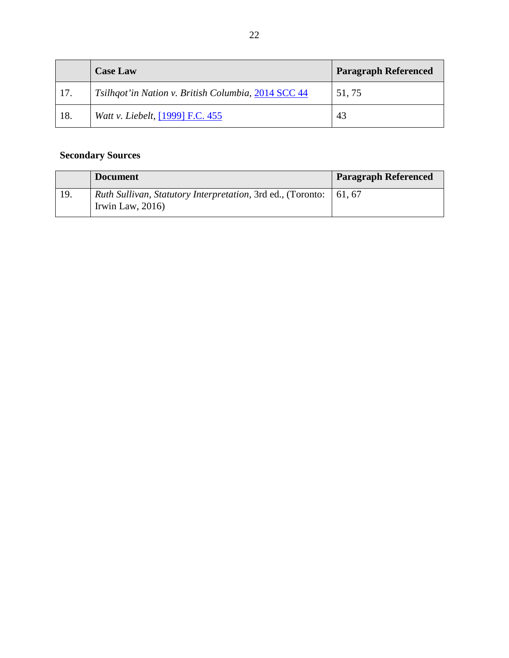|     | <b>Case Law</b>                                     | <b>Paragraph Referenced</b> |
|-----|-----------------------------------------------------|-----------------------------|
| 17. | Tsilhqot'in Nation v. British Columbia, 2014 SCC 44 | 51,75                       |
| 18. | Watt v. Liebelt, [1999] F.C. 455                    | 43                          |

## **Secondary Sources**

|     | <b>Document</b>                                                                                    | <b>Paragraph Referenced</b> |
|-----|----------------------------------------------------------------------------------------------------|-----------------------------|
| 19. | <i>Ruth Sullivan, Statutory Interpretation, 3rd ed., (Toronto:</i>   61, 67<br>Irwin Law, $2016$ ) |                             |